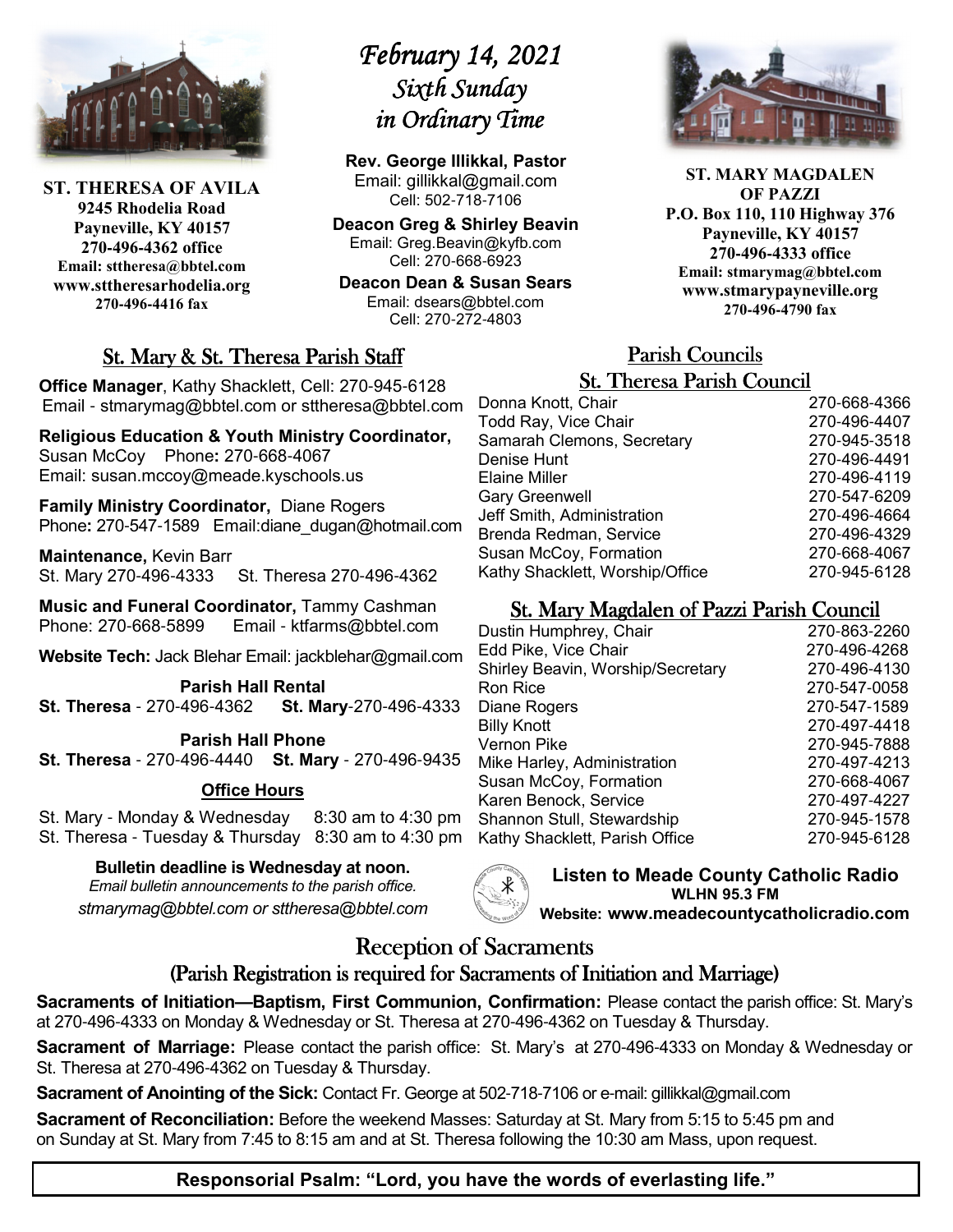

**ST. THERESA OF AVILA 9245 Rhodelia Road Payneville, KY 40157 270-496-4362 office Email: sttheresa@bbtel.com www.sttheresarhodelia.org 270-496-4416 fax**

# *February 14, 2021* Sixth Sunday *in Ordinary Time*

**Rev. George Illikkal, Pastor** Email: gillikkal@gmail.com Cell: 502-718-7106

**Deacon Greg & Shirley Beavin** Email: Greg.Beavin@kyfb.com Cell: 270-668-6923

**Deacon Dean & Susan Sears** Email: dsears@bbtel.com Cell: 270-272-4803

# St. Mary & St. Theresa Parish Staff

**Office Manager**, Kathy Shacklett, Cell: 270-945-6128 Email - stmarymag@bbtel.com or sttheresa@bbtel.com

**Religious Education & Youth Ministry Coordinator,**  Susan McCoy Phone**:** 270-668-4067 Email: susan.mccoy@meade.kyschools.us

**Family Ministry Coordinator,** Diane Rogers Phone**:** 270-547-1589 Email:diane\_dugan@hotmail.com

**Maintenance,** Kevin Barr St. Mary 270-496-4333 St. Theresa 270-496-4362

**Music and Funeral Coordinator,** Tammy Cashman Phone: 270-668-5899 Email - ktfarms@bbtel.com

**Website Tech:** Jack Blehar Email: jackblehar@gmail.com

**Parish Hall Rental St. Theresa** - 270-496-4362 **St. Mary**-270-496-4333

#### **Parish Hall Phone**

**St. Theresa** - 270-496-4440 **St. Mary** - 270-496-9435

#### **Office Hours**

St. Mary - Monday & Wednesday 8:30 am to 4:30 pm St. Theresa - Tuesday & Thursday 8:30 am to 4:30 pm

**Bulletin deadline is Wednesday at noon.**

*Email bulletin announcements to the parish office. stmarymag@bbtel.com or sttheresa@bbtel.com*



**ST. MARY MAGDALEN OF PAZZI P.O. Box 110, 110 Highway 376 Payneville, KY 40157 270-496-4333 office Email: stmarymag@bbtel.com www.stmarypayneville.org 270-496-4790 fax**

# Parish Councils Parish Councils

| <b>St. Theresa Parish Council</b> |  |  |  |  |
|-----------------------------------|--|--|--|--|
| 270-668-4366                      |  |  |  |  |
| 270-496-4407                      |  |  |  |  |
| 270-945-3518                      |  |  |  |  |
| 270-496-4491                      |  |  |  |  |
| 270-496-4119                      |  |  |  |  |
| 270-547-6209                      |  |  |  |  |
| 270-496-4664                      |  |  |  |  |
| 270-496-4329                      |  |  |  |  |
| 270-668-4067                      |  |  |  |  |
| 270-945-6128                      |  |  |  |  |
|                                   |  |  |  |  |

# St. Mary Magdalen of Pazzi Parish Council

| Dustin Humphrey, Chair            | 270-863-2260 |
|-----------------------------------|--------------|
| Edd Pike, Vice Chair              | 270-496-4268 |
| Shirley Beavin, Worship/Secretary | 270-496-4130 |
| Ron Rice                          | 270-547-0058 |
| Diane Rogers                      | 270-547-1589 |
| <b>Billy Knott</b>                | 270-497-4418 |
| Vernon Pike                       | 270-945-7888 |
| Mike Harley, Administration       | 270-497-4213 |
| Susan McCoy, Formation            | 270-668-4067 |
| Karen Benock, Service             | 270-497-4227 |
| Shannon Stull, Stewardship        | 270-945-1578 |
| Kathy Shacklett, Parish Office    | 270-945-6128 |
|                                   |              |

**Listen to Meade County Catholic Radio WLHN 95.3 FM Website: www.meadecountycatholicradio.com**

# Reception of Sacraments

# (Parish Registration is required for Sacraments of Initiation and Marriage)

**Sacraments of Initiation—Baptism, First Communion, Confirmation:** Please contact the parish office: St. Mary's at 270-496-4333 on Monday & Wednesday or St. Theresa at 270-496-4362 on Tuesday & Thursday.

**Sacrament of Marriage:** Please contact the parish office: St. Mary's at 270-496-4333 on Monday & Wednesday or St. Theresa at 270-496-4362 on Tuesday & Thursday.

**Sacrament of Anointing of the Sick:** Contact Fr. George at 502-718-7106 or e-mail: gillikkal@gmail.com

**Sacrament of Reconciliation:** Before the weekend Masses: Saturday at St. Mary from 5:15 to 5:45 pm and on Sunday at St. Mary from 7:45 to 8:15 am and at St. Theresa following the 10:30 am Mass, upon request.

# **Responsorial Psalm: "Lord, you have the words of everlasting life."**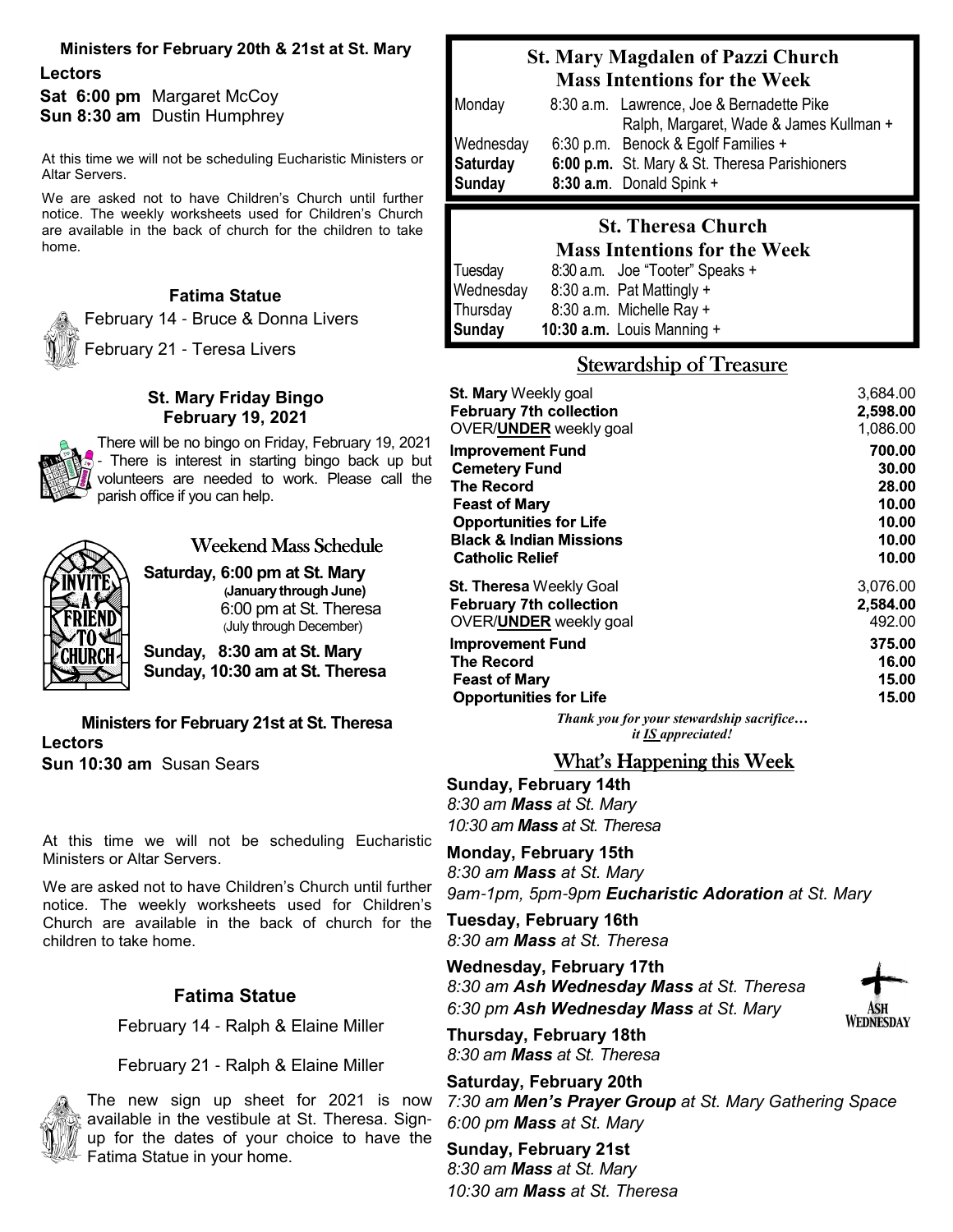#### **Ministers for February 20th & 21st at St. Mary**

**Lectors Sat 6:00 pm** Margaret McCoy **Sun 8:30 am** Dustin Humphrey

At this time we will not be scheduling Eucharistic Ministers or Altar Servers.

We are asked not to have Children's Church until further notice. The weekly worksheets used for Children's Church are available in the back of church for the children to take home.

#### **Fatima Statue**

February 14 - Bruce & Donna Livers

February 21 - Teresa Livers

#### **St. Mary Friday Bingo February 19, 2021**

There will be no bingo on Friday, February 19, 2021 - There is interest in starting bingo back up but volunteers are needed to work. Please call the parish office if you can help.



# Weekend Mass Schedule

**Saturday, 6:00 pm at St. Mary (January through June)**  6:00 pm at St. Theresa (July through December)

**Sunday, 8:30 am at St. Mary Sunday, 10:30 am at St. Theresa**

**Ministers for February 21st at St. Theresa Lectors Sun 10:30 am** Susan Sears

At this time we will not be scheduling Eucharistic Ministers or Altar Servers.

We are asked not to have Children's Church until further notice. The weekly worksheets used for Children's Church are available in the back of church for the children to take home.

## **Fatima Statue**

February 14 - Ralph & Elaine Miller

February 21 - Ralph & Elaine Miller



The new sign up sheet for 2021 is now available in the vestibule at St. Theresa. Signup for the dates of your choice to have the Fatima Statue in your home.

# **St. Mary Magdalen of Pazzi Church Mass Intentions for the Week**

| Monday          | 8:30 a.m. Lawrence, Joe & Bernadette Pike     |
|-----------------|-----------------------------------------------|
|                 | Ralph, Margaret, Wade & James Kullman +       |
| Wednesday       | 6:30 p.m. Benock & Egolf Families +           |
| <b>Saturday</b> | 6:00 p.m. St. Mary & St. Theresa Parishioners |
| <b>Sunday</b>   | 8:30 a.m. Donald Spink +                      |

#### **St. Theresa Church Mass Intentions for the Week**

|           | итазу ниспиону юг ию уусск      |
|-----------|---------------------------------|
| Tuesday   | 8:30 a.m. Joe "Tooter" Speaks + |
| Wednesday | 8:30 a.m. Pat Mattingly $+$     |
| Thursday  | 8:30 a.m. Michelle Ray +        |
| Sunday    | 10:30 $a.m.$ Louis Manning $+$  |

# Stewardship of Treasure

| <b>St. Mary Weekly goal</b>              | 3,684.00 |
|------------------------------------------|----------|
| <b>February 7th collection</b>           | 2,598.00 |
| OVER/ <b>UNDER</b> weekly goal           | 1,086.00 |
| <b>Improvement Fund</b>                  | 700.00   |
| <b>Cemetery Fund</b>                     | 30.00    |
| <b>The Record</b>                        | 28.00    |
| <b>Feast of Mary</b>                     | 10.00    |
| <b>Opportunities for Life</b>            | 10.00    |
| <b>Black &amp; Indian Missions</b>       | 10.00    |
| <b>Catholic Relief</b>                   | 10.00    |
| <b>St. Theresa</b> Weekly Goal           | 3,076.00 |
| <b>February 7th collection</b>           | 2,584.00 |
| OVER/ <b>UNDER</b> weekly goal           | 492.00   |
| <b>Improvement Fund</b>                  | 375.00   |
| <b>The Record</b>                        | 16.00    |
| <b>Feast of Mary</b>                     | 15.00    |
| <b>Opportunities for Life</b>            | 15.00    |
| Thank you for your stewardship sacrifice |          |

*it IS appreciated!*

## What's Happening this Week

**Sunday, February 14th** *8:30 am Mass at St. Mary 10:30 am Mass at St. Theresa*

**Monday, February 15th** *8:30 am Mass at St. Mary 9am*-*1pm, 5pm*-*9pm Eucharistic Adoration at St. Mary*

**Tuesday, February 16th** *8:30 am Mass at St. Theresa*

**Wednesday, February 17th** *8:30 am Ash Wednesday Mass at St. Theresa 6:30 pm Ash Wednesday Mass at St. Mary*



**Thursday, February 18th** *8:30 am Mass at St. Theresa*

**Saturday, February 20th** *7:30 am Men's Prayer Group at St. Mary Gathering Space 6:00 pm Mass at St. Mary*

**Sunday, February 21st** *8:30 am Mass at St. Mary 10:30 am Mass at St. Theresa*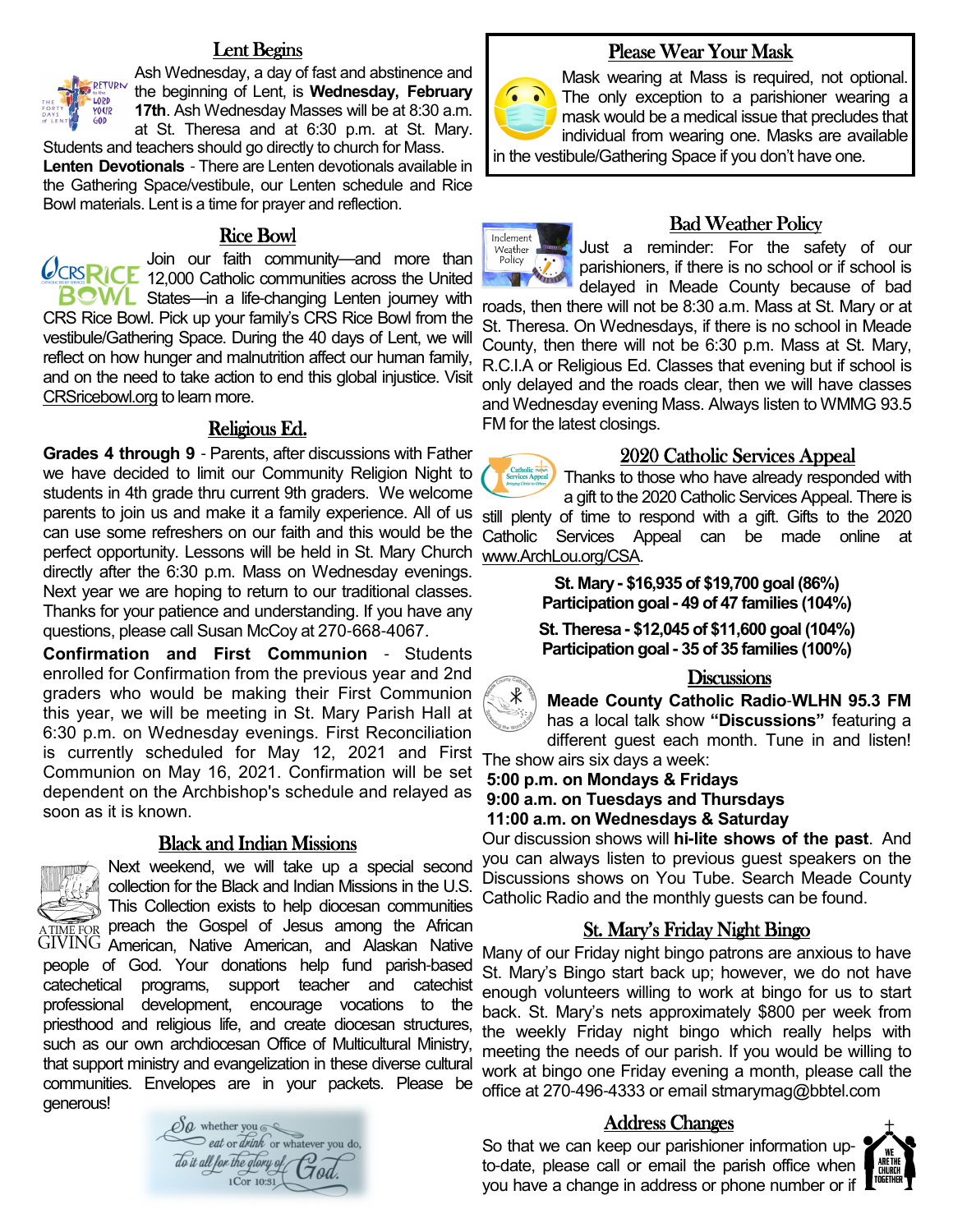## Lent Begins



Ash Wednesday, a day of fast and abstinence and the beginning of Lent, is **Wednesday, February 17th**. Ash Wednesday Masses will be at 8:30 a.m. at St. Theresa and at 6:30 p.m. at St. Mary.

Students and teachers should go directly to church for Mass. **Lenten Devotionals** - There are Lenten devotionals available in the Gathering Space/vestibule, our Lenten schedule and Rice Bowl materials. Lent is a time for prayer and reflection.

#### Rice Bowl

Join our faith community—and more than **CCRSRICE** 12,000 Catholic communities across the United  $B<sub>C</sub>WL$  States—in a life-changing Lenten journey with CRS Rice Bowl. Pick up your family's CRS Rice Bowl from the vestibule/Gathering Space. During the 40 days of Lent, we will reflect on how hunger and malnutrition affect our human family, and on the need to take action to end this global injustice. Visit CRSricebowl.org to learn more.

#### Religious Ed.

**Grades 4 through 9** - Parents, after discussions with Father we have decided to limit our Community Religion Night to students in 4th grade thru current 9th graders. We welcome parents to join us and make it a family experience. All of us still plenty of time to respond with a gift. Gifts to the 2020 can use some refreshers on our faith and this would be the perfect opportunity. Lessons will be held in St. Mary Church directly after the 6:30 p.m. Mass on Wednesday evenings. Next year we are hoping to return to our traditional classes. Thanks for your patience and understanding. If you have any questions, please call Susan McCoy at 270-668-4067.

**Confirmation and First Communion** - Students enrolled for Confirmation from the previous year and 2nd graders who would be making their First Communion this year, we will be meeting in St. Mary Parish Hall at 6:30 p.m. on Wednesday evenings. First Reconciliation is currently scheduled for May 12, 2021 and First Communion on May 16, 2021. Confirmation will be set dependent on the Archbishop's schedule and relayed as soon as it is known.

#### **Black and Indian Missions**



Next weekend, we will take up a special second  $\mathbb{Z}^{\mathbb{Z}}$  collection for the Black and Indian Missions in the U.S. This Collection exists to help diocesan communities ATIME FOR preach the Gospel of Jesus among the African American, Native American, and Alaskan Native people of God. Your donations help fund parish-based catechetical programs, support teacher and catechist professional development, encourage vocations to the priesthood and religious life, and create diocesan structures, such as our own archdiocesan Office of Multicultural Ministry, that support ministry and evangelization in these diverse cultural communities. Envelopes are in your packets. Please be generous!

 $\mathscr{O}a$  whether you  $\circ$ eat or drink or whatever you do, To it all for the glory of  $\mathop{Gal}\limits_{\mathop{\rm l\mathop{\rm Cor}\nolimits}}\mathop{\rm i\mathop{\rm Col}\nolimits}$ 

# Please Wear Your Mask



Mask wearing at Mass is required, not optional. The only exception to a parishioner wearing a mask would be a medical issue that precludes that individual from wearing one. Masks are available

in the vestibule/Gathering Space if you don't have one.



#### **Bad Weather Policy**

Just a reminder: For the safety of our parishioners, if there is no school or if school is delayed in Meade County because of bad

roads, then there will not be 8:30 a.m. Mass at St. Mary or at St. Theresa. On Wednesdays, if there is no school in Meade County, then there will not be 6:30 p.m. Mass at St. Mary, R.C.I.A or Religious Ed. Classes that evening but if school is only delayed and the roads clear, then we will have classes and Wednesday evening Mass. Always listen to WMMG 93.5 FM for the latest closings.

#### 2020 Catholic Services Appeal 2020 Catholic

Thanks to those who have already responded with a gift to the 2020 Catholic Services Appeal. There is Catholic Services Appeal can be made online at www.ArchLou.org/CSA.

> **St. Mary - \$16,935 of \$19,700 goal (86%) Participation goal - 49 of 47 families (104%)**

> **St. Theresa - \$12,045 of \$11,600 goal (104%) Participation goal - 35 of 35 families (100%)**

#### **Discussions**

∦ **Meade County Catholic Radio**-**WLHN 95.3 FM**  has a local talk show **"Discussions"** featuring a different guest each month. Tune in and listen!

The show airs six days a week:  **5:00 p.m. on Mondays & Fridays**

 **9:00 a.m. on Tuesdays and Thursdays**

 **11:00 a.m. on Wednesdays & Saturday**

Our discussion shows will **hi-lite shows of the past**. And you can always listen to previous guest speakers on the Discussions shows on You Tube. Search Meade County Catholic Radio and the monthly guests can be found.

## St. Mary's Friday Night Bingo

Many of our Friday night bingo patrons are anxious to have St. Mary's Bingo start back up; however, we do not have enough volunteers willing to work at bingo for us to start back. St. Mary's nets approximately \$800 per week from the weekly Friday night bingo which really helps with meeting the needs of our parish. If you would be willing to work at bingo one Friday evening a month, please call the office at 270-496-4333 or email stmarymag@bbtel.com

#### Address Changes

So that we can keep our parishioner information upto-date, please call or email the parish office when you have a change in address or phone number or if